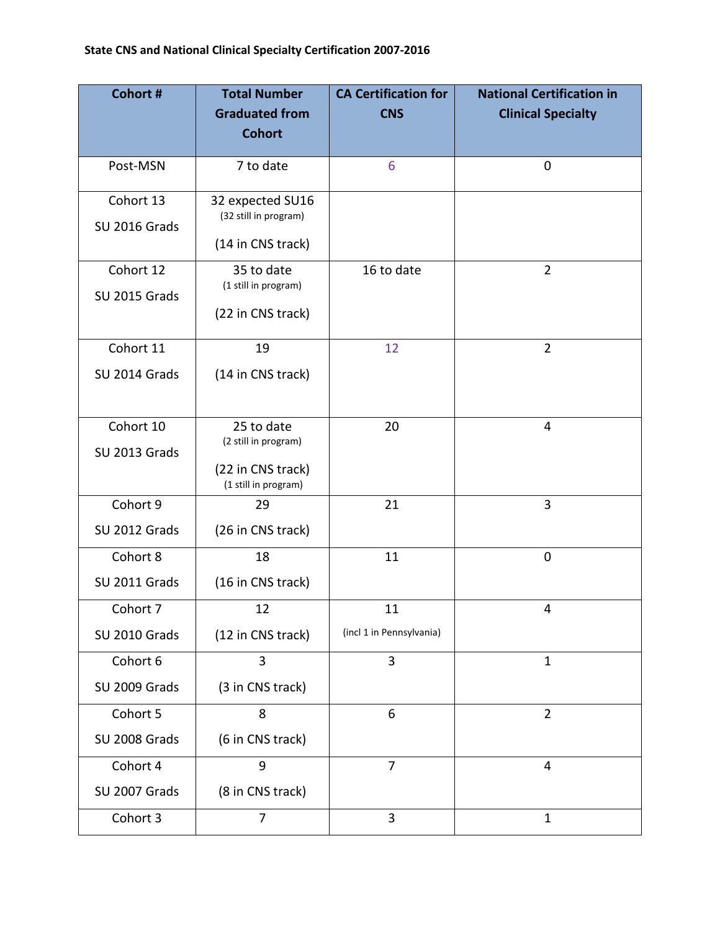| Cohort #      | <b>Total Number</b>                       | <b>CA Certification for</b> | <b>National Certification in</b> |
|---------------|-------------------------------------------|-----------------------------|----------------------------------|
|               | <b>Graduated from</b>                     | <b>CNS</b>                  | <b>Clinical Specialty</b>        |
|               | <b>Cohort</b>                             |                             |                                  |
| Post-MSN      | 7 to date                                 | 6                           | $\mathbf 0$                      |
| Cohort 13     | 32 expected SU16                          |                             |                                  |
| SU 2016 Grads | (32 still in program)                     |                             |                                  |
|               | (14 in CNS track)                         |                             |                                  |
| Cohort 12     | 35 to date<br>(1 still in program)        | 16 to date                  | $\overline{2}$                   |
| SU 2015 Grads |                                           |                             |                                  |
|               | (22 in CNS track)                         |                             |                                  |
| Cohort 11     | 19                                        | 12                          | $\overline{2}$                   |
| SU 2014 Grads | (14 in CNS track)                         |                             |                                  |
|               |                                           |                             |                                  |
| Cohort 10     | 25 to date                                | 20                          | 4                                |
| SU 2013 Grads | (2 still in program)                      |                             |                                  |
|               | (22 in CNS track)<br>(1 still in program) |                             |                                  |
| Cohort 9      | 29                                        | 21                          | 3                                |
| SU 2012 Grads | (26 in CNS track)                         |                             |                                  |
| Cohort 8      | 18                                        | 11                          | $\mathbf 0$                      |
| SU 2011 Grads | (16 in CNS track)                         |                             |                                  |
| Cohort 7      | 12                                        | 11                          | 4                                |
| SU 2010 Grads | (12 in CNS track)                         | (incl 1 in Pennsylvania)    |                                  |
| Cohort 6      | $\overline{3}$                            | 3                           | $\mathbf{1}$                     |
| SU 2009 Grads | (3 in CNS track)                          |                             |                                  |
| Cohort 5      | 8                                         | 6                           | $\overline{2}$                   |
| SU 2008 Grads | (6 in CNS track)                          |                             |                                  |
| Cohort 4      | 9                                         | $\overline{7}$              | 4                                |
| SU 2007 Grads | (8 in CNS track)                          |                             |                                  |
| Cohort 3      | 7                                         | 3                           | $\mathbf{1}$                     |